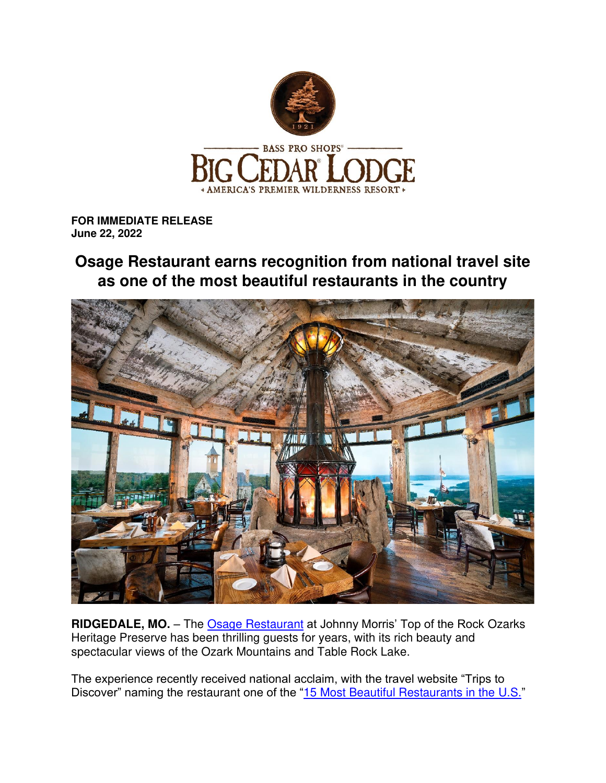

**FOR IMMEDIATE RELEASE June 22, 2022** 

## **Osage Restaurant earns recognition from national travel site as one of the most beautiful restaurants in the country**



**RIDGEDALE, MO.** – The [Osage Restaurant](https://bigcedar.com/dining/osage-restaurant/) at Johnny Morris' Top of the Rock Ozarks Heritage Preserve has been thrilling guests for years, with its rich beauty and spectacular views of the Ozark Mountains and Table Rock Lake.

The experience recently received national acclaim, with the travel website "Trips to Discover" naming the restaurant one of the "[15 Most Beautiful Restaurants in the U.S.](https://www.tripstodiscover.com/beautiful-restaurants-united-states/)"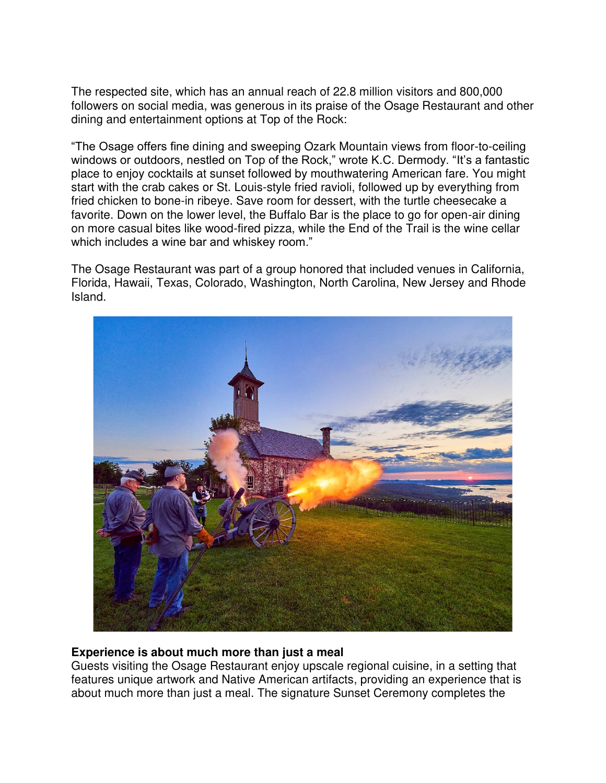The respected site, which has an annual reach of 22.8 million visitors and 800,000 followers on social media, was generous in its praise of the Osage Restaurant and other dining and entertainment options at Top of the Rock:

"The Osage offers fine dining and sweeping Ozark Mountain views from floor-to-ceiling windows or outdoors, nestled on Top of the Rock," wrote K.C. Dermody. "It's a fantastic place to enjoy cocktails at sunset followed by mouthwatering American fare. You might start with the crab cakes or St. Louis-style fried ravioli, followed up by everything from fried chicken to bone-in ribeye. Save room for dessert, with the turtle cheesecake a favorite. Down on the lower level, the Buffalo Bar is the place to go for open-air dining on more casual bites like wood-fired pizza, while the End of the Trail is the wine cellar which includes a wine bar and whiskey room."

The Osage Restaurant was part of a group honored that included venues in California, Florida, Hawaii, Texas, Colorado, Washington, North Carolina, New Jersey and Rhode Island.



## **Experience is about much more than just a meal**

Guests visiting the Osage Restaurant enjoy upscale regional cuisine, in a setting that features unique artwork and Native American artifacts, providing an experience that is about much more than just a meal. The signature Sunset Ceremony completes the